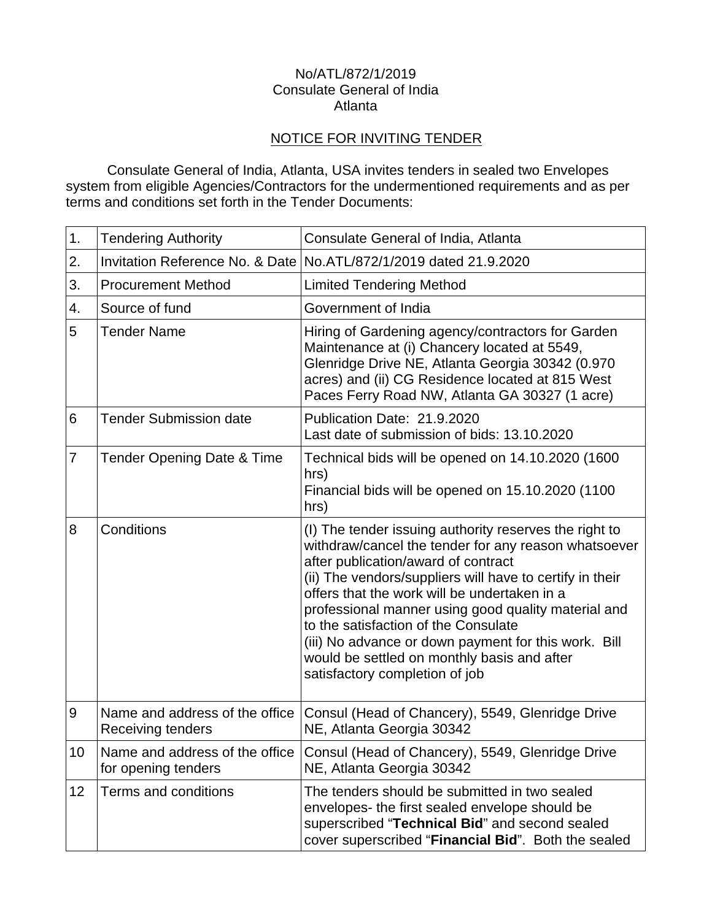#### No/ATL/872/1/2019 Consulate General of India Atlanta

# NOTICE FOR INVITING TENDER

Consulate General of India, Atlanta, USA invites tenders in sealed two Envelopes system from eligible Agencies/Contractors for the undermentioned requirements and as per terms and conditions set forth in the Tender Documents:

| 1. | <b>Tendering Authority</b>                            | Consulate General of India, Atlanta                                                                                                                                                                                                                                                                                                                                                                                                                                                                       |
|----|-------------------------------------------------------|-----------------------------------------------------------------------------------------------------------------------------------------------------------------------------------------------------------------------------------------------------------------------------------------------------------------------------------------------------------------------------------------------------------------------------------------------------------------------------------------------------------|
| 2. | Invitation Reference No. & Date                       | No.ATL/872/1/2019 dated 21.9.2020                                                                                                                                                                                                                                                                                                                                                                                                                                                                         |
| 3. | <b>Procurement Method</b>                             | <b>Limited Tendering Method</b>                                                                                                                                                                                                                                                                                                                                                                                                                                                                           |
| 4. | Source of fund                                        | Government of India                                                                                                                                                                                                                                                                                                                                                                                                                                                                                       |
| 5  | <b>Tender Name</b>                                    | Hiring of Gardening agency/contractors for Garden<br>Maintenance at (i) Chancery located at 5549,<br>Glenridge Drive NE, Atlanta Georgia 30342 (0.970<br>acres) and (ii) CG Residence located at 815 West<br>Paces Ferry Road NW, Atlanta GA 30327 (1 acre)                                                                                                                                                                                                                                               |
| 6  | <b>Tender Submission date</b>                         | Publication Date: 21.9.2020<br>Last date of submission of bids: 13.10.2020                                                                                                                                                                                                                                                                                                                                                                                                                                |
| 7  | Tender Opening Date & Time                            | Technical bids will be opened on 14.10.2020 (1600<br>hrs)<br>Financial bids will be opened on 15.10.2020 (1100<br>hrs)                                                                                                                                                                                                                                                                                                                                                                                    |
| 8  | Conditions                                            | (I) The tender issuing authority reserves the right to<br>withdraw/cancel the tender for any reason whatsoever<br>after publication/award of contract<br>(ii) The vendors/suppliers will have to certify in their<br>offers that the work will be undertaken in a<br>professional manner using good quality material and<br>to the satisfaction of the Consulate<br>(iii) No advance or down payment for this work. Bill<br>would be settled on monthly basis and after<br>satisfactory completion of job |
| 9  | Name and address of the office<br>Receiving tenders   | Consul (Head of Chancery), 5549, Glenridge Drive<br>NE, Atlanta Georgia 30342                                                                                                                                                                                                                                                                                                                                                                                                                             |
| 10 | Name and address of the office<br>for opening tenders | Consul (Head of Chancery), 5549, Glenridge Drive<br>NE, Atlanta Georgia 30342                                                                                                                                                                                                                                                                                                                                                                                                                             |
| 12 | Terms and conditions                                  | The tenders should be submitted in two sealed<br>envelopes- the first sealed envelope should be<br>superscribed "Technical Bid" and second sealed<br>cover superscribed "Financial Bid". Both the sealed                                                                                                                                                                                                                                                                                                  |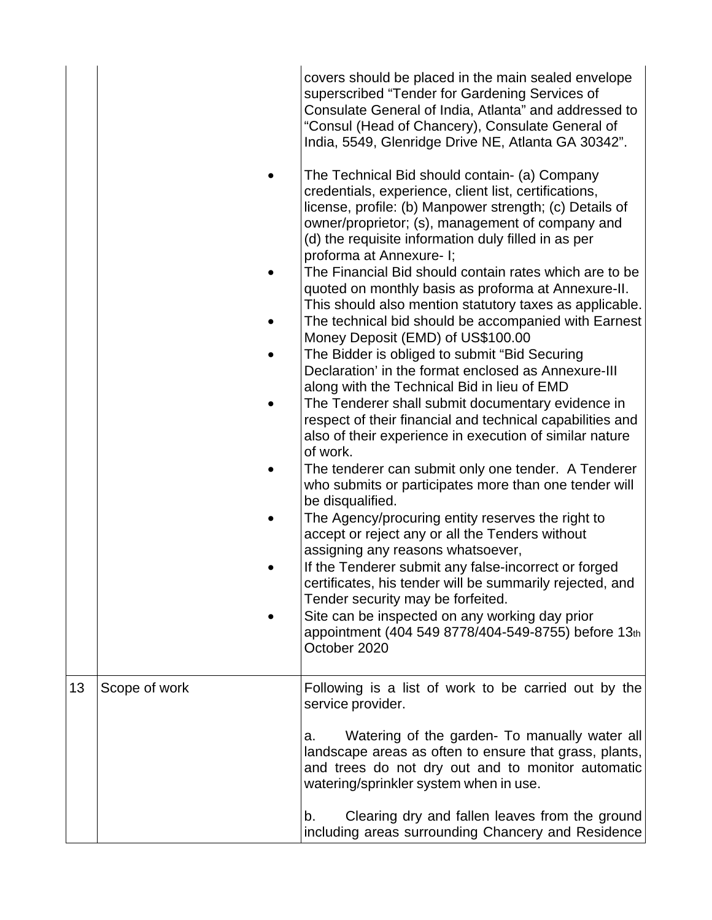|    |               | covers should be placed in the main sealed envelope<br>superscribed "Tender for Gardening Services of<br>Consulate General of India, Atlanta" and addressed to<br>"Consul (Head of Chancery), Consulate General of<br>India, 5549, Glenridge Drive NE, Atlanta GA 30342".<br>The Technical Bid should contain- (a) Company<br>credentials, experience, client list, certifications,<br>license, profile: (b) Manpower strength; (c) Details of<br>owner/proprietor; (s), management of company and<br>(d) the requisite information duly filled in as per<br>proforma at Annexure- I;<br>The Financial Bid should contain rates which are to be<br>quoted on monthly basis as proforma at Annexure-II.<br>This should also mention statutory taxes as applicable.<br>The technical bid should be accompanied with Earnest<br>Money Deposit (EMD) of US\$100.00<br>The Bidder is obliged to submit "Bid Securing<br>Declaration' in the format enclosed as Annexure-III<br>along with the Technical Bid in lieu of EMD<br>The Tenderer shall submit documentary evidence in<br>respect of their financial and technical capabilities and<br>also of their experience in execution of similar nature<br>of work.<br>The tenderer can submit only one tender. A Tenderer<br>who submits or participates more than one tender will<br>be disqualified.<br>The Agency/procuring entity reserves the right to<br>accept or reject any or all the Tenders without<br>assigning any reasons whatsoever,<br>If the Tenderer submit any false-incorrect or forged<br>certificates, his tender will be summarily rejected, and<br>Tender security may be forfeited.<br>Site can be inspected on any working day prior<br>appointment (404 549 8778/404-549-8755) before 13th<br>October 2020 |
|----|---------------|-----------------------------------------------------------------------------------------------------------------------------------------------------------------------------------------------------------------------------------------------------------------------------------------------------------------------------------------------------------------------------------------------------------------------------------------------------------------------------------------------------------------------------------------------------------------------------------------------------------------------------------------------------------------------------------------------------------------------------------------------------------------------------------------------------------------------------------------------------------------------------------------------------------------------------------------------------------------------------------------------------------------------------------------------------------------------------------------------------------------------------------------------------------------------------------------------------------------------------------------------------------------------------------------------------------------------------------------------------------------------------------------------------------------------------------------------------------------------------------------------------------------------------------------------------------------------------------------------------------------------------------------------------------------------------------------------------------------------------------------------------------------------------------|
| 13 | Scope of work | Following is a list of work to be carried out by the<br>service provider.<br>Watering of the garden- To manually water all<br>a.<br>landscape areas as often to ensure that grass, plants,<br>and trees do not dry out and to monitor automatic<br>watering/sprinkler system when in use.<br>Clearing dry and fallen leaves from the ground<br>b.<br>including areas surrounding Chancery and Residence                                                                                                                                                                                                                                                                                                                                                                                                                                                                                                                                                                                                                                                                                                                                                                                                                                                                                                                                                                                                                                                                                                                                                                                                                                                                                                                                                                           |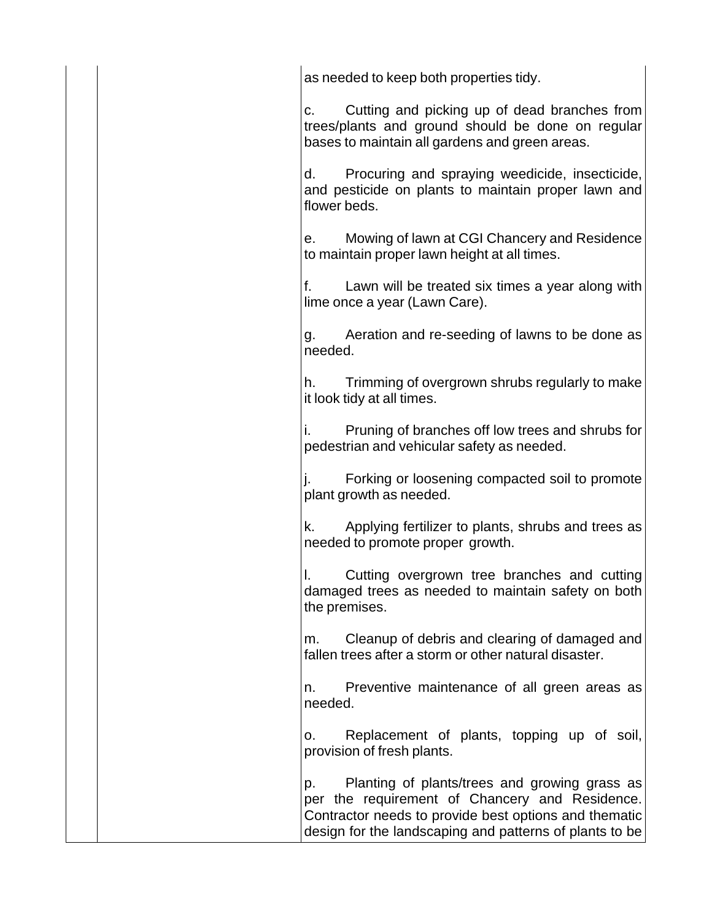|  | as needed to keep both properties tidy.                                                                                                                                                                                   |
|--|---------------------------------------------------------------------------------------------------------------------------------------------------------------------------------------------------------------------------|
|  | Cutting and picking up of dead branches from<br>C.<br>trees/plants and ground should be done on regular<br>bases to maintain all gardens and green areas.                                                                 |
|  | Procuring and spraying weedicide, insecticide,<br>d.<br>and pesticide on plants to maintain proper lawn and<br>flower beds.                                                                                               |
|  | e. Mowing of lawn at CGI Chancery and Residence<br>to maintain proper lawn height at all times.                                                                                                                           |
|  | Lawn will be treated six times a year along with<br>f.<br>lime once a year (Lawn Care).                                                                                                                                   |
|  | Aeration and re-seeding of lawns to be done as<br>g.<br>needed.                                                                                                                                                           |
|  | Trimming of overgrown shrubs regularly to make<br>h.<br>it look tidy at all times.                                                                                                                                        |
|  | Pruning of branches off low trees and shrubs for<br>pedestrian and vehicular safety as needed.                                                                                                                            |
|  | Forking or loosening compacted soil to promote<br>plant growth as needed.                                                                                                                                                 |
|  | Applying fertilizer to plants, shrubs and trees as<br>k.<br>needed to promote proper growth.                                                                                                                              |
|  | Cutting overgrown tree branches and cutting<br>damaged trees as needed to maintain safety on both<br>the premises.                                                                                                        |
|  | Cleanup of debris and clearing of damaged and<br>m.<br>fallen trees after a storm or other natural disaster.                                                                                                              |
|  | Preventive maintenance of all green areas as<br>n.<br>needed.                                                                                                                                                             |
|  | Replacement of plants, topping up of soil,<br>0.<br>provision of fresh plants.                                                                                                                                            |
|  | Planting of plants/trees and growing grass as<br>p.<br>per the requirement of Chancery and Residence.<br>Contractor needs to provide best options and thematic<br>design for the landscaping and patterns of plants to be |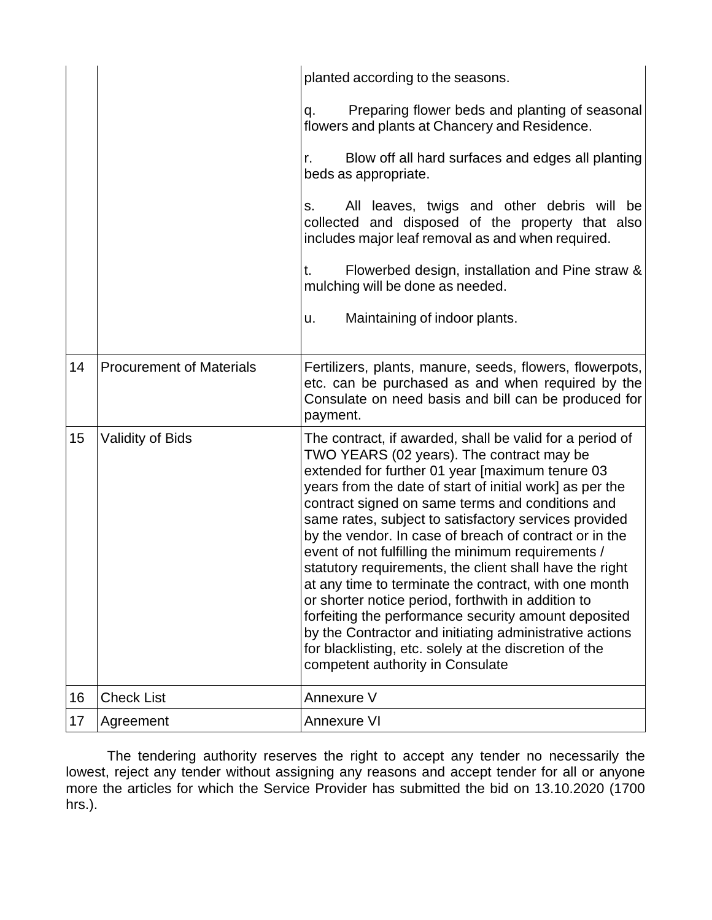|    |                                 | planted according to the seasons.                                                                                                                                                                                                                                                                                                                                                                                                                                                                                                                                                                                                                                                                                                                                                                                                            |
|----|---------------------------------|----------------------------------------------------------------------------------------------------------------------------------------------------------------------------------------------------------------------------------------------------------------------------------------------------------------------------------------------------------------------------------------------------------------------------------------------------------------------------------------------------------------------------------------------------------------------------------------------------------------------------------------------------------------------------------------------------------------------------------------------------------------------------------------------------------------------------------------------|
|    |                                 | Preparing flower beds and planting of seasonal<br>q.<br>flowers and plants at Chancery and Residence.                                                                                                                                                                                                                                                                                                                                                                                                                                                                                                                                                                                                                                                                                                                                        |
|    |                                 | Blow off all hard surfaces and edges all planting<br>r.<br>beds as appropriate.                                                                                                                                                                                                                                                                                                                                                                                                                                                                                                                                                                                                                                                                                                                                                              |
|    |                                 | All leaves, twigs and other debris will be<br>$S_{1}$<br>collected and disposed of the property that also<br>includes major leaf removal as and when required.                                                                                                                                                                                                                                                                                                                                                                                                                                                                                                                                                                                                                                                                               |
|    |                                 | Flowerbed design, installation and Pine straw &<br>t.<br>mulching will be done as needed.                                                                                                                                                                                                                                                                                                                                                                                                                                                                                                                                                                                                                                                                                                                                                    |
|    |                                 | Maintaining of indoor plants.<br>u.                                                                                                                                                                                                                                                                                                                                                                                                                                                                                                                                                                                                                                                                                                                                                                                                          |
| 14 | <b>Procurement of Materials</b> | Fertilizers, plants, manure, seeds, flowers, flowerpots,<br>etc. can be purchased as and when required by the<br>Consulate on need basis and bill can be produced for<br>payment.                                                                                                                                                                                                                                                                                                                                                                                                                                                                                                                                                                                                                                                            |
| 15 | <b>Validity of Bids</b>         | The contract, if awarded, shall be valid for a period of<br>TWO YEARS (02 years). The contract may be<br>extended for further 01 year [maximum tenure 03<br>years from the date of start of initial work] as per the<br>contract signed on same terms and conditions and<br>same rates, subject to satisfactory services provided<br>by the vendor. In case of breach of contract or in the<br>event of not fulfilling the minimum requirements /<br>statutory requirements, the client shall have the right<br>at any time to terminate the contract, with one month<br>or shorter notice period, forthwith in addition to<br>forfeiting the performance security amount deposited<br>by the Contractor and initiating administrative actions<br>for blacklisting, etc. solely at the discretion of the<br>competent authority in Consulate |
| 16 | <b>Check List</b>               | Annexure V                                                                                                                                                                                                                                                                                                                                                                                                                                                                                                                                                                                                                                                                                                                                                                                                                                   |
| 17 | Agreement                       | <b>Annexure VI</b>                                                                                                                                                                                                                                                                                                                                                                                                                                                                                                                                                                                                                                                                                                                                                                                                                           |

The tendering authority reserves the right to accept any tender no necessarily the lowest, reject any tender without assigning any reasons and accept tender for all or anyone more the articles for which the Service Provider has submitted the bid on 13.10.2020 (1700 hrs.).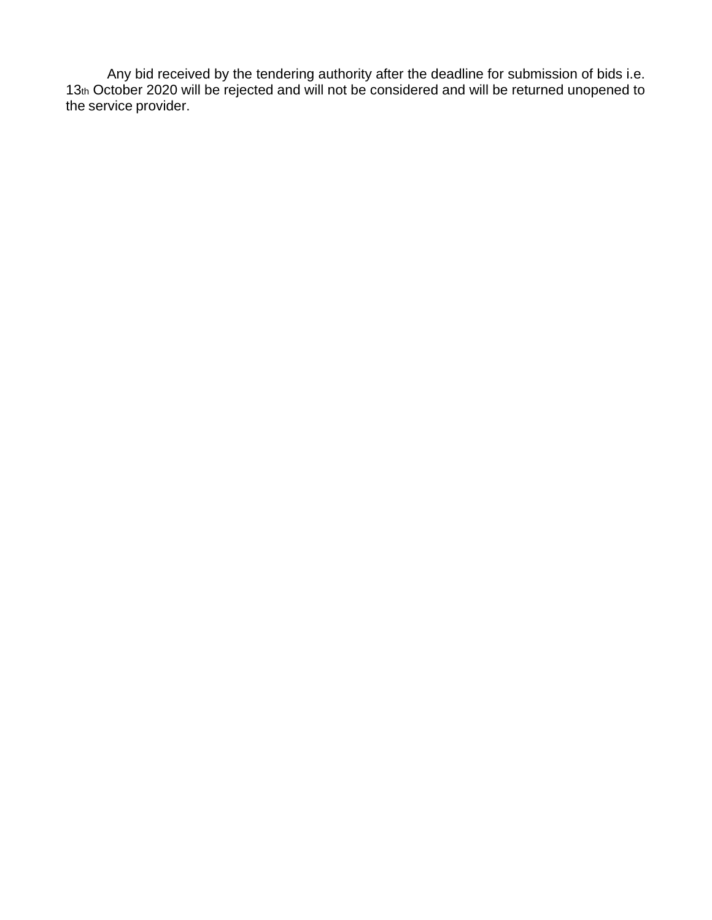Any bid received by the tendering authority after the deadline for submission of bids i.e. 13th October 2020 will be rejected and will not be considered and will be returned unopened to the service provider.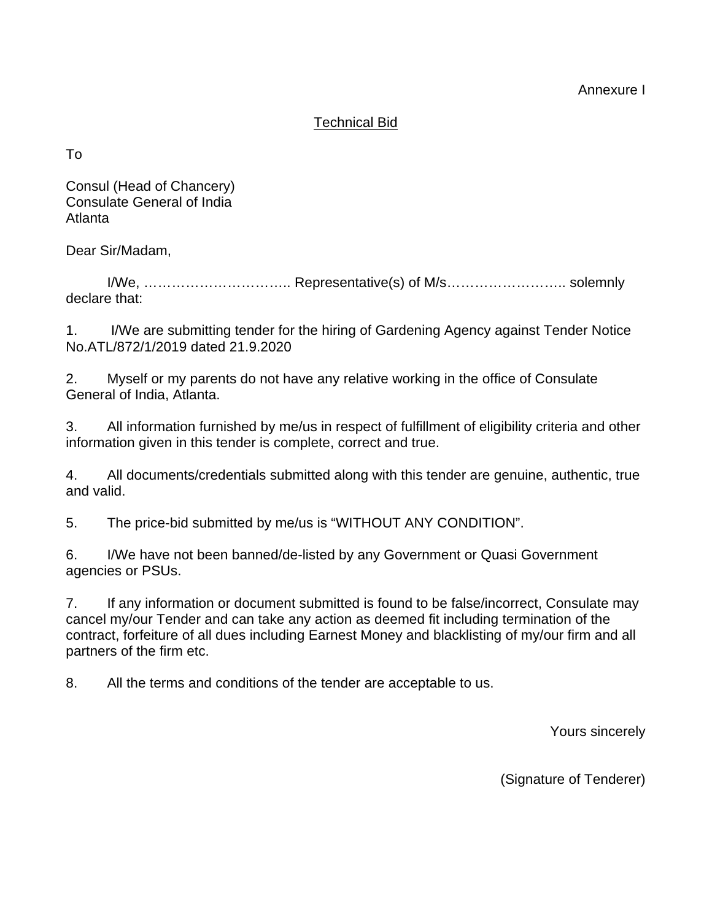Annexure I

# Technical Bid

To

Consul (Head of Chancery) Consulate General of India Atlanta

Dear Sir/Madam,

I/We, ………………………….. Representative(s) of M/s…………………….. solemnly declare that:

1. I/We are submitting tender for the hiring of Gardening Agency against Tender Notice No.ATL/872/1/2019 dated 21.9.2020

2. Myself or my parents do not have any relative working in the office of Consulate General of India, Atlanta.

3. All information furnished by me/us in respect of fulfillment of eligibility criteria and other information given in this tender is complete, correct and true.

4. All documents/credentials submitted along with this tender are genuine, authentic, true and valid.

5. The price-bid submitted by me/us is "WITHOUT ANY CONDITION".

6. I/We have not been banned/de-listed by any Government or Quasi Government agencies or PSUs.

7. If any information or document submitted is found to be false/incorrect, Consulate may cancel my/our Tender and can take any action as deemed fit including termination of the contract, forfeiture of all dues including Earnest Money and blacklisting of my/our firm and all partners of the firm etc.

8. All the terms and conditions of the tender are acceptable to us.

Yours sincerely

(Signature of Tenderer)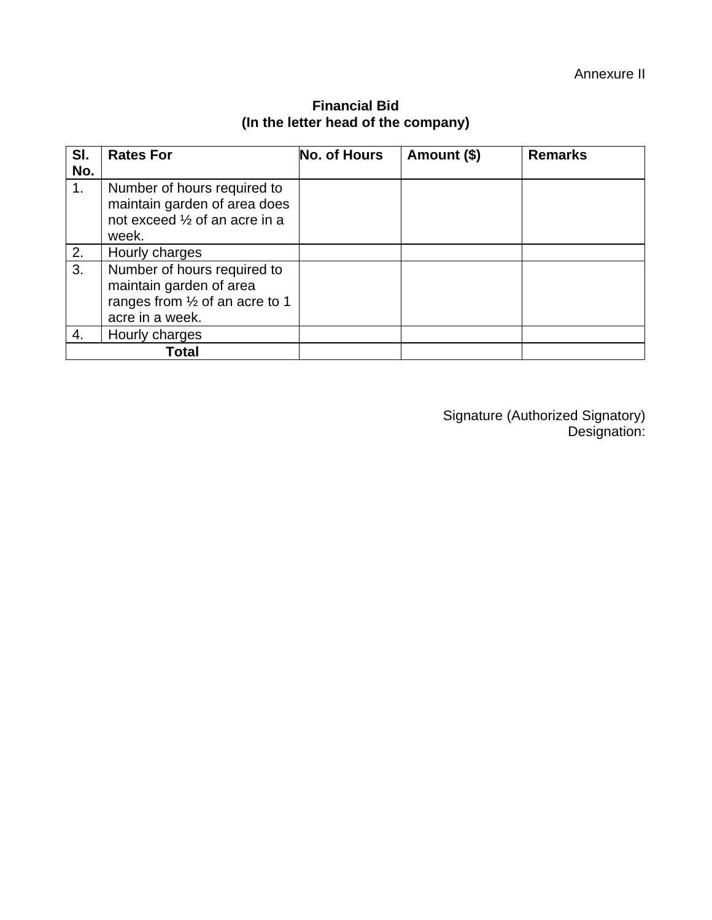| SI.<br>No. | <b>Rates For</b>                                                                                             | No. of Hours | Amount (\$) | <b>Remarks</b> |
|------------|--------------------------------------------------------------------------------------------------------------|--------------|-------------|----------------|
| 1.         | Number of hours required to<br>maintain garden of area does<br>not exceed 1/2 of an acre in a<br>week.       |              |             |                |
| 2.         | Hourly charges                                                                                               |              |             |                |
| 3.         | Number of hours required to<br>maintain garden of area<br>ranges from 1/2 of an acre to 1<br>acre in a week. |              |             |                |
| 4.         | Hourly charges                                                                                               |              |             |                |
|            | Total                                                                                                        |              |             |                |

# **Financial Bid (In the letter head of the company)**

Signature (Authorized Signatory) Designation: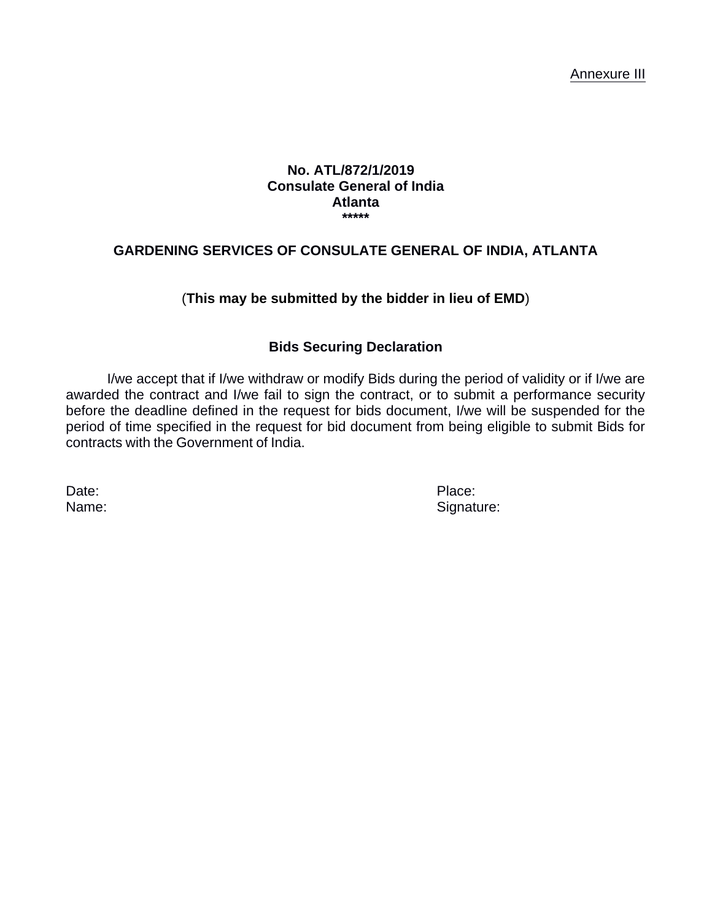#### **No. ATL/872/1/2019 Consulate General of India Atlanta \*\*\*\*\***

### **GARDENING SERVICES OF CONSULATE GENERAL OF INDIA, ATLANTA**

# (**This may be submitted by the bidder in lieu of EMD**)

### **Bids Securing Declaration**

I/we accept that if I/we withdraw or modify Bids during the period of validity or if I/we are awarded the contract and I/we fail to sign the contract, or to submit a performance security before the deadline defined in the request for bids document, I/we will be suspended for the period of time specified in the request for bid document from being eligible to submit Bids for contracts with the Government of India.

Date: Place:

Name: Signature: Signature: Signature: Signature: Signature: Signature: Signature: Signature: Signature: Signature: Signature: Signature: Signature: Signature: Signature: Signature: Signature: Signature: Signature: Signatu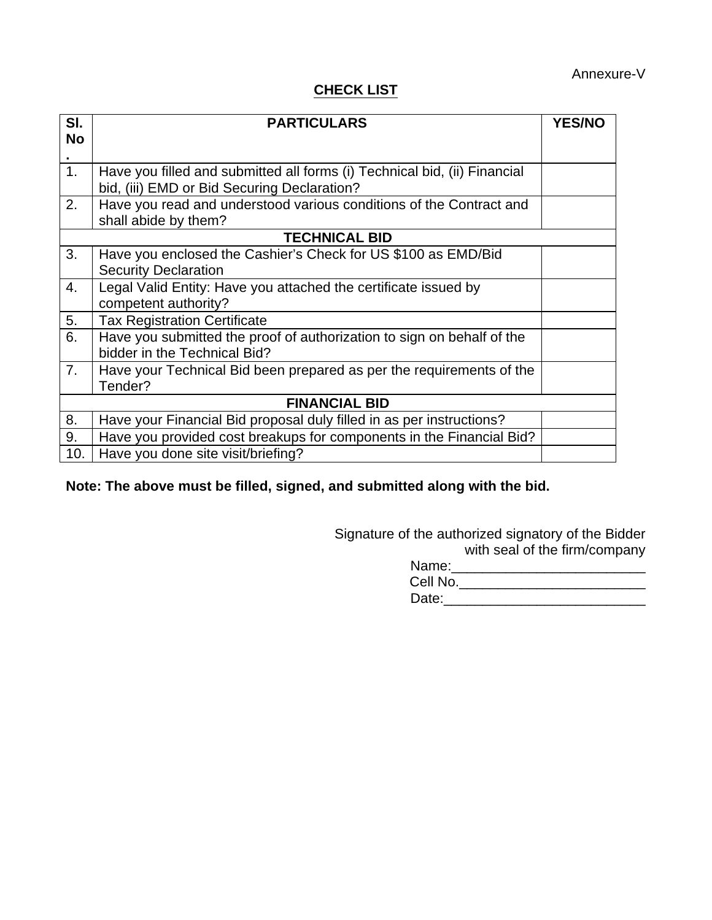# **CHECK LIST**

| SI.                  | <b>PARTICULARS</b>                                                        | <b>YES/NO</b> |
|----------------------|---------------------------------------------------------------------------|---------------|
| <b>No</b>            |                                                                           |               |
|                      |                                                                           |               |
| 1.                   | Have you filled and submitted all forms (i) Technical bid, (ii) Financial |               |
|                      | bid, (iii) EMD or Bid Securing Declaration?                               |               |
| 2.                   | Have you read and understood various conditions of the Contract and       |               |
|                      | shall abide by them?                                                      |               |
|                      | <b>TECHNICAL BID</b>                                                      |               |
| 3.                   | Have you enclosed the Cashier's Check for US \$100 as EMD/Bid             |               |
|                      | <b>Security Declaration</b>                                               |               |
| 4.                   | Legal Valid Entity: Have you attached the certificate issued by           |               |
|                      | competent authority?                                                      |               |
| 5.                   | <b>Tax Registration Certificate</b>                                       |               |
| 6.                   | Have you submitted the proof of authorization to sign on behalf of the    |               |
|                      | bidder in the Technical Bid?                                              |               |
| 7.                   | Have your Technical Bid been prepared as per the requirements of the      |               |
|                      | Tender?                                                                   |               |
| <b>FINANCIAL BID</b> |                                                                           |               |
| 8.                   | Have your Financial Bid proposal duly filled in as per instructions?      |               |
| 9.                   | Have you provided cost breakups for components in the Financial Bid?      |               |
| 10.                  | Have you done site visit/briefing?                                        |               |

**Note: The above must be filled, signed, and submitted along with the bid.**

Signature of the authorized signatory of the Bidder with seal of the firm/company

| Name:    |  |
|----------|--|
| Cell No. |  |
| Date:    |  |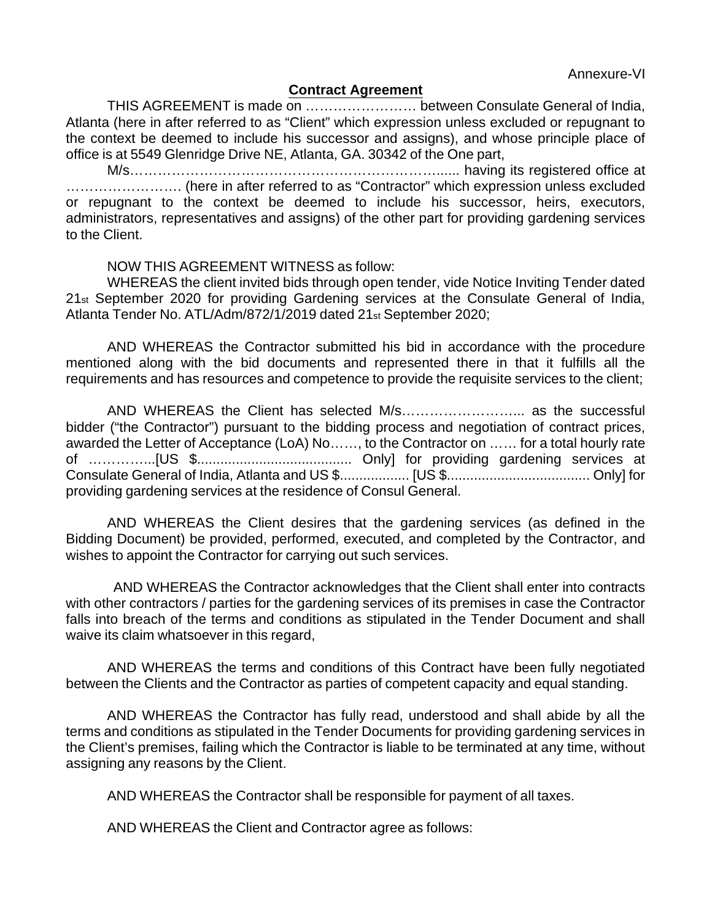#### **Contract Agreement**

THIS AGREEMENT is made on …………………… between Consulate General of India, Atlanta (here in after referred to as "Client" which expression unless excluded or repugnant to the context be deemed to include his successor and assigns), and whose principle place of office is at 5549 Glenridge Drive NE, Atlanta, GA. 30342 of the One part,

M/s……………………………………………………………………………… having its registered office at ……………………. (here in after referred to as "Contractor" which expression unless excluded or repugnant to the context be deemed to include his successor, heirs, executors, administrators, representatives and assigns) of the other part for providing gardening services to the Client.

#### NOW THIS AGREEMENT WITNESS as follow:

WHEREAS the client invited bids through open tender, vide Notice Inviting Tender dated 21st September 2020 for providing Gardening services at the Consulate General of India, Atlanta Tender No. ATL/Adm/872/1/2019 dated 21st September 2020;

AND WHEREAS the Contractor submitted his bid in accordance with the procedure mentioned along with the bid documents and represented there in that it fulfills all the requirements and has resources and competence to provide the requisite services to the client;

AND WHEREAS the Client has selected M/s……………………... as the successful bidder ("the Contractor") pursuant to the bidding process and negotiation of contract prices, awarded the Letter of Acceptance (LoA) No……, to the Contractor on …… for a total hourly rate of …………...[US \$........................................ Only] for providing gardening services at Consulate General of India, Atlanta and US \$.................. [US \$..................................... Only] for providing gardening services at the residence of Consul General.

AND WHEREAS the Client desires that the gardening services (as defined in the Bidding Document) be provided, performed, executed, and completed by the Contractor, and wishes to appoint the Contractor for carrying out such services.

 AND WHEREAS the Contractor acknowledges that the Client shall enter into contracts with other contractors / parties for the gardening services of its premises in case the Contractor falls into breach of the terms and conditions as stipulated in the Tender Document and shall waive its claim whatsoever in this regard,

AND WHEREAS the terms and conditions of this Contract have been fully negotiated between the Clients and the Contractor as parties of competent capacity and equal standing.

AND WHEREAS the Contractor has fully read, understood and shall abide by all the terms and conditions as stipulated in the Tender Documents for providing gardening services in the Client's premises, failing which the Contractor is liable to be terminated at any time, without assigning any reasons by the Client.

AND WHEREAS the Contractor shall be responsible for payment of all taxes.

AND WHEREAS the Client and Contractor agree as follows: